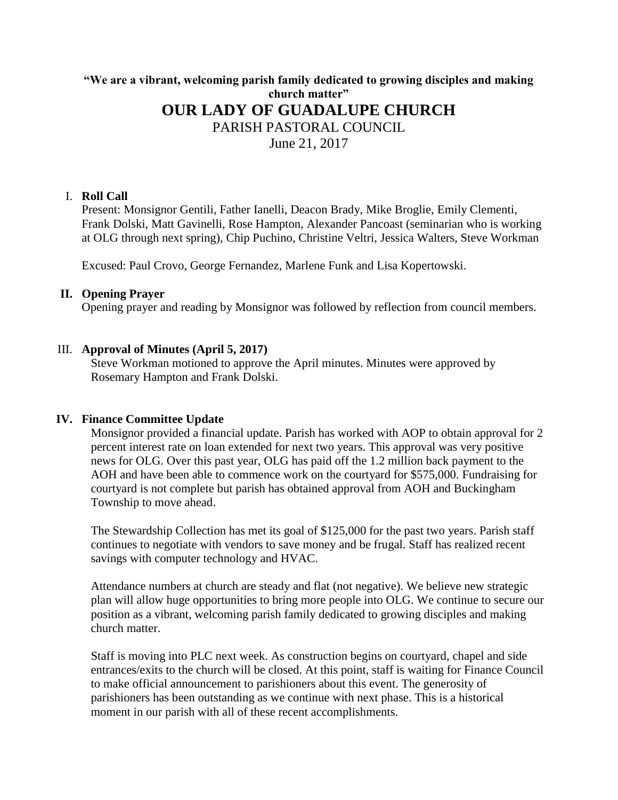# **"We are a vibrant, welcoming parish family dedicated to growing disciples and making church matter" OUR LADY OF GUADALUPE CHURCH** PARISH PASTORAL COUNCIL June 21, 2017

#### I. **Roll Call**

Present: Monsignor Gentili, Father Ianelli, Deacon Brady, Mike Broglie, Emily Clementi, Frank Dolski, Matt Gavinelli, Rose Hampton, Alexander Pancoast (seminarian who is working at OLG through next spring), Chip Puchino, Christine Veltri, Jessica Walters, Steve Workman

Excused: Paul Crovo, George Fernandez, Marlene Funk and Lisa Kopertowski.

#### **II. Opening Prayer**

Opening prayer and reading by Monsignor was followed by reflection from council members.

### III. **Approval of Minutes (April 5, 2017)**

Steve Workman motioned to approve the April minutes. Minutes were approved by Rosemary Hampton and Frank Dolski.

#### **IV. Finance Committee Update**

Monsignor provided a financial update. Parish has worked with AOP to obtain approval for 2 percent interest rate on loan extended for next two years. This approval was very positive news for OLG. Over this past year, OLG has paid off the 1.2 million back payment to the AOH and have been able to commence work on the courtyard for \$575,000. Fundraising for courtyard is not complete but parish has obtained approval from AOH and Buckingham Township to move ahead.

The Stewardship Collection has met its goal of \$125,000 for the past two years. Parish staff continues to negotiate with vendors to save money and be frugal. Staff has realized recent savings with computer technology and HVAC.

Attendance numbers at church are steady and flat (not negative). We believe new strategic plan will allow huge opportunities to bring more people into OLG. We continue to secure our position as a vibrant, welcoming parish family dedicated to growing disciples and making church matter.

Staff is moving into PLC next week. As construction begins on courtyard, chapel and side entrances/exits to the church will be closed. At this point, staff is waiting for Finance Council to make official announcement to parishioners about this event. The generosity of parishioners has been outstanding as we continue with next phase. This is a historical moment in our parish with all of these recent accomplishments.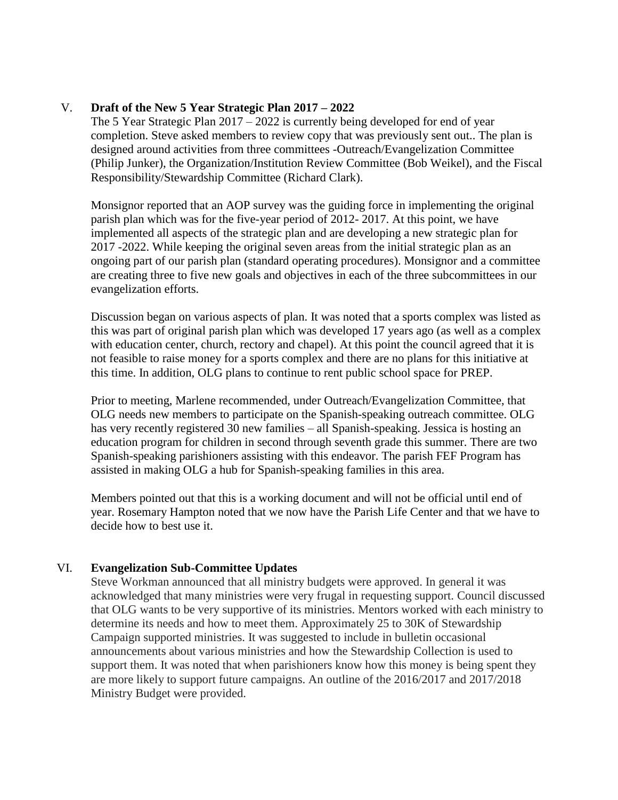## V. **Draft of the New 5 Year Strategic Plan 2017 – 2022**

The 5 Year Strategic Plan 2017 – 2022 is currently being developed for end of year completion. Steve asked members to review copy that was previously sent out.. The plan is designed around activities from three committees -Outreach/Evangelization Committee (Philip Junker), the Organization/Institution Review Committee (Bob Weikel), and the Fiscal Responsibility/Stewardship Committee (Richard Clark).

Monsignor reported that an AOP survey was the guiding force in implementing the original parish plan which was for the five-year period of 2012- 2017. At this point, we have implemented all aspects of the strategic plan and are developing a new strategic plan for 2017 -2022. While keeping the original seven areas from the initial strategic plan as an ongoing part of our parish plan (standard operating procedures). Monsignor and a committee are creating three to five new goals and objectives in each of the three subcommittees in our evangelization efforts.

Discussion began on various aspects of plan. It was noted that a sports complex was listed as this was part of original parish plan which was developed 17 years ago (as well as a complex with education center, church, rectory and chapel). At this point the council agreed that it is not feasible to raise money for a sports complex and there are no plans for this initiative at this time. In addition, OLG plans to continue to rent public school space for PREP.

Prior to meeting, Marlene recommended, under Outreach/Evangelization Committee, that OLG needs new members to participate on the Spanish-speaking outreach committee. OLG has very recently registered 30 new families – all Spanish-speaking. Jessica is hosting an education program for children in second through seventh grade this summer. There are two Spanish-speaking parishioners assisting with this endeavor. The parish FEF Program has assisted in making OLG a hub for Spanish-speaking families in this area.

Members pointed out that this is a working document and will not be official until end of year. Rosemary Hampton noted that we now have the Parish Life Center and that we have to decide how to best use it.

# VI. **Evangelization Sub-Committee Updates**

Steve Workman announced that all ministry budgets were approved. In general it was acknowledged that many ministries were very frugal in requesting support. Council discussed that OLG wants to be very supportive of its ministries. Mentors worked with each ministry to determine its needs and how to meet them. Approximately 25 to 30K of Stewardship Campaign supported ministries. It was suggested to include in bulletin occasional announcements about various ministries and how the Stewardship Collection is used to support them. It was noted that when parishioners know how this money is being spent they are more likely to support future campaigns. An outline of the 2016/2017 and 2017/2018 Ministry Budget were provided.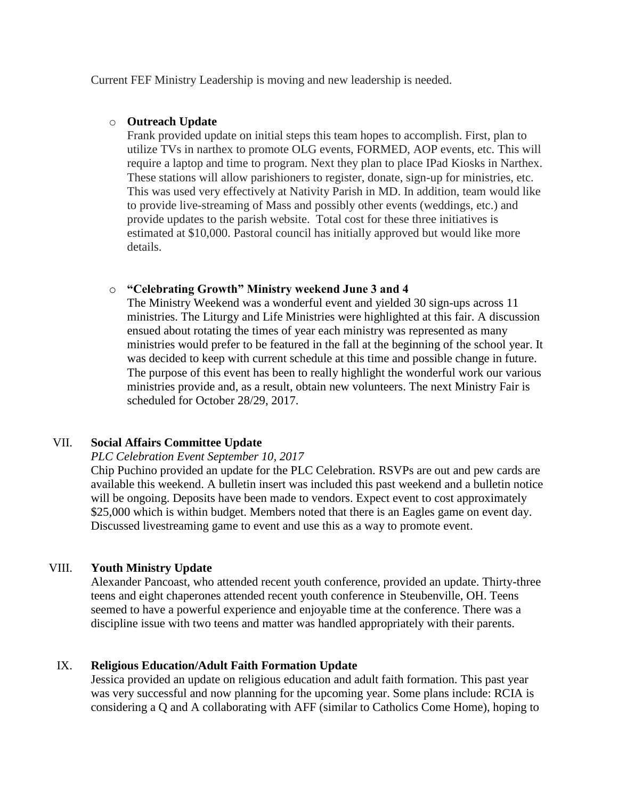Current FEF Ministry Leadership is moving and new leadership is needed.

### o **Outreach Update**

Frank provided update on initial steps this team hopes to accomplish. First, plan to utilize TVs in narthex to promote OLG events, FORMED, AOP events, etc. This will require a laptop and time to program. Next they plan to place IPad Kiosks in Narthex. These stations will allow parishioners to register, donate, sign-up for ministries, etc. This was used very effectively at Nativity Parish in MD. In addition, team would like to provide live-streaming of Mass and possibly other events (weddings, etc.) and provide updates to the parish website. Total cost for these three initiatives is estimated at \$10,000. Pastoral council has initially approved but would like more details.

### o **"Celebrating Growth" Ministry weekend June 3 and 4**

The Ministry Weekend was a wonderful event and yielded 30 sign-ups across 11 ministries. The Liturgy and Life Ministries were highlighted at this fair. A discussion ensued about rotating the times of year each ministry was represented as many ministries would prefer to be featured in the fall at the beginning of the school year. It was decided to keep with current schedule at this time and possible change in future. The purpose of this event has been to really highlight the wonderful work our various ministries provide and, as a result, obtain new volunteers. The next Ministry Fair is scheduled for October 28/29, 2017.

# VII. **Social Affairs Committee Update**

### *PLC Celebration Event September 10, 2017*

Chip Puchino provided an update for the PLC Celebration. RSVPs are out and pew cards are available this weekend. A bulletin insert was included this past weekend and a bulletin notice will be ongoing. Deposits have been made to vendors. Expect event to cost approximately \$25,000 which is within budget. Members noted that there is an Eagles game on event day. Discussed livestreaming game to event and use this as a way to promote event.

### VIII. **Youth Ministry Update**

Alexander Pancoast, who attended recent youth conference, provided an update. Thirty-three teens and eight chaperones attended recent youth conference in Steubenville, OH. Teens seemed to have a powerful experience and enjoyable time at the conference. There was a discipline issue with two teens and matter was handled appropriately with their parents.

### IX. **Religious Education/Adult Faith Formation Update**

Jessica provided an update on religious education and adult faith formation. This past year was very successful and now planning for the upcoming year. Some plans include: RCIA is considering a Q and A collaborating with AFF (similar to Catholics Come Home), hoping to